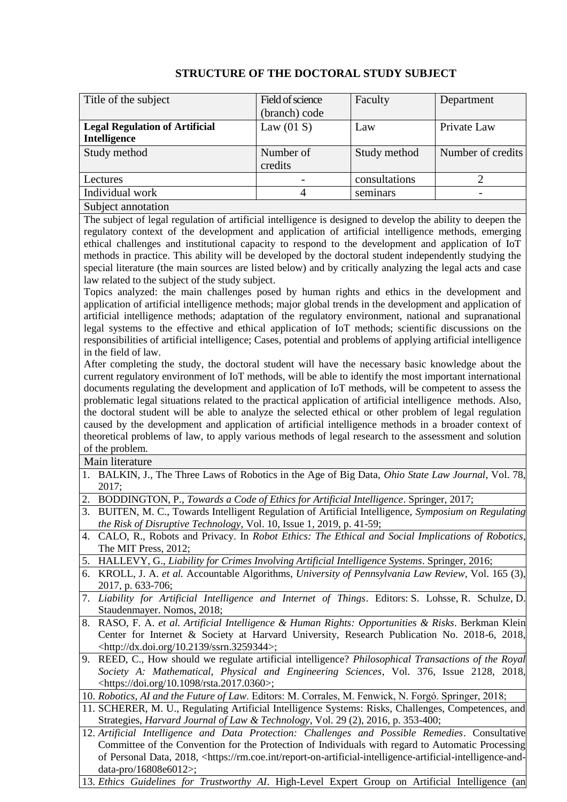## **STRUCTURE OF THE DOCTORAL STUDY SUBJECT**

| Title of the subject                  | Field of science | Faculty       | Department        |
|---------------------------------------|------------------|---------------|-------------------|
|                                       | (branch) code    |               |                   |
| <b>Legal Regulation of Artificial</b> | Law $(01 S)$     | Law           | Private Law       |
| Intelligence                          |                  |               |                   |
| Study method                          | Number of        | Study method  | Number of credits |
|                                       | credits          |               |                   |
| Lectures                              |                  | consultations |                   |
| Individual work                       |                  | seminars      |                   |
| Subject annotation                    |                  |               |                   |

The subject of legal regulation of artificial intelligence is designed to develop the ability to deepen the regulatory context of the development and application of artificial intelligence methods, emerging ethical challenges and institutional capacity to respond to the development and application of IoT methods in practice. This ability will be developed by the doctoral student independently studying the special literature (the main sources are listed below) and by critically analyzing the legal acts and case law related to the subject of the study subject.

Topics analyzed: the main challenges posed by human rights and ethics in the development and application of artificial intelligence methods; major global trends in the development and application of artificial intelligence methods; adaptation of the regulatory environment, national and supranational legal systems to the effective and ethical application of IoT methods; scientific discussions on the responsibilities of artificial intelligence; Cases, potential and problems of applying artificial intelligence in the field of law.

After completing the study, the doctoral student will have the necessary basic knowledge about the current regulatory environment of IoT methods, will be able to identify the most important international documents regulating the development and application of IoT methods, will be competent to assess the problematic legal situations related to the practical application of artificial intelligence methods. Also, the doctoral student will be able to analyze the selected ethical or other problem of legal regulation caused by the development and application of artificial intelligence methods in a broader context of theoretical problems of law, to apply various methods of legal research to the assessment and solution of the problem.

Main literature

- 1. BALKIN, J., The Three Laws of Robotics in the Age of Big Data, *Ohio State Law Journal*, Vol. 78, 2017;
- 2. BODDINGTON, P., *Towards a Code of Ethics for Artificial Intelligence*. Springer, 2017;
- 3. BUITEN, M. C., Towards Intelligent Regulation of Artificial Intelligence, *Symposium on Regulating the Risk of Disruptive Technology*, Vol. 10, Issue 1, 2019, p. 41-59;
- 4. CALO, R., Robots and Privacy. In *Robot Ethics: The Ethical and Social Implications of Robotics*, The MIT Press, 2012;
- 5. HALLEVY, G., *Liability for Crimes Involving Artificial Intelligence Systems*. Springer, 2016;
- 6. KROLL, J. A. *et al.* Accountable Algorithms, *University of Pennsylvania Law Review*, Vol. 165 (3), 2017, p. 633-706;
- 7. *Liability for Artificial Intelligence and Internet of Things*. Editors: S. Lohsse, R. Schulze, D. Staudenmayer. Nomos, 2018;
- 8. RASO, F. A. *et al. Artificial Intelligence & Human Rights: Opportunities & Risks*. Berkman Klein Center for Internet & Society at Harvard University, Research Publication No. 2018-6, 2018, [<http://dx.doi.org/10.2139/ssrn.3259344>](http://dx.doi.org/10.2139/ssrn.3259344);
- 9. REED, C., How should we regulate artificial intelligence? *Philosophical Transactions of the Royal Society A: Mathematical, Physical and Engineering Sciences*, Vol. 376, Issue 2128, 2018, [<https://doi.org/10.1098/rsta.2017.0360>](https://doi.org/10.1098/rsta.2017.0360);

10. *Robotics, AI and the Future of Law*. Editors: M. Corrales, M. Fenwick, N. Forgó. Springer, 2018;

- 11. SCHERER, M. U., Regulating Artificial Intelligence Systems: Risks, Challenges, Competences, and Strategies, *Harvard Journal of Law & Technology*, Vol. 29 (2), 2016, p. 353-400;
- 12. *Artificial Intelligence and Data Protection: Challenges and Possible Remedies*. Consultative Committee of the Convention for the Protection of Individuals with regard to Automatic Processing of Personal Data, 2018, [<https://rm.coe.int/report-on-artificial-intelligence-artificial-intelligence-and](https://rm.coe.int/report-on-artificial-intelligence-artificial-intelligence-and-data-pro/16808e6012)[data-pro/16808e6012>](https://rm.coe.int/report-on-artificial-intelligence-artificial-intelligence-and-data-pro/16808e6012);

13. *Ethics Guidelines for Trustworthy AI*. High-Level Expert Group on Artificial Intelligence (an